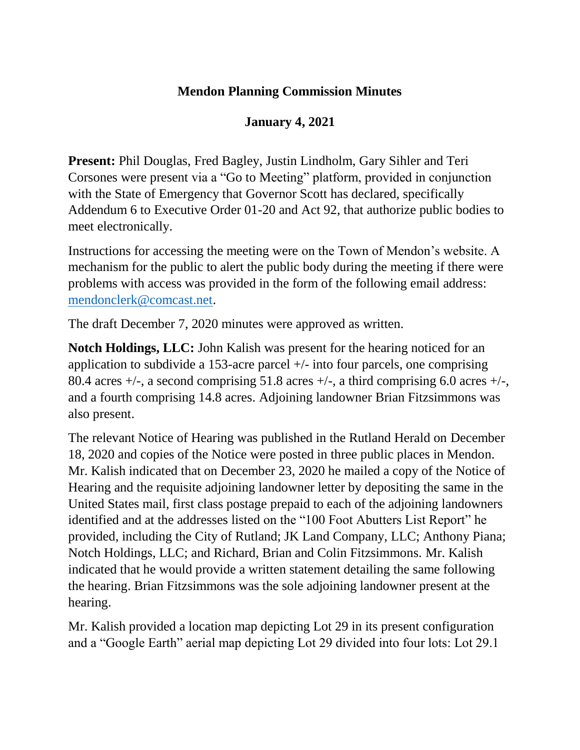## **Mendon Planning Commission Minutes**

## **January 4, 2021**

**Present:** Phil Douglas, Fred Bagley, Justin Lindholm, Gary Sihler and Teri Corsones were present via a "Go to Meeting" platform, provided in conjunction with the State of Emergency that Governor Scott has declared, specifically Addendum 6 to Executive Order 01-20 and Act 92, that authorize public bodies to meet electronically.

Instructions for accessing the meeting were on the Town of Mendon's website. A mechanism for the public to alert the public body during the meeting if there were problems with access was provided in the form of the following email address: [mendonclerk@comcast.net.](mailto:mendonclerk@comcast.net)

The draft December 7, 2020 minutes were approved as written.

**Notch Holdings, LLC:** John Kalish was present for the hearing noticed for an application to subdivide a 153-acre parcel  $+/-$  into four parcels, one comprising 80.4 acres  $+/-$ , a second comprising 51.8 acres  $+/-$ , a third comprising 6.0 acres  $+/-$ , and a fourth comprising 14.8 acres. Adjoining landowner Brian Fitzsimmons was also present.

The relevant Notice of Hearing was published in the Rutland Herald on December 18, 2020 and copies of the Notice were posted in three public places in Mendon. Mr. Kalish indicated that on December 23, 2020 he mailed a copy of the Notice of Hearing and the requisite adjoining landowner letter by depositing the same in the United States mail, first class postage prepaid to each of the adjoining landowners identified and at the addresses listed on the "100 Foot Abutters List Report" he provided, including the City of Rutland; JK Land Company, LLC; Anthony Piana; Notch Holdings, LLC; and Richard, Brian and Colin Fitzsimmons. Mr. Kalish indicated that he would provide a written statement detailing the same following the hearing. Brian Fitzsimmons was the sole adjoining landowner present at the hearing.

Mr. Kalish provided a location map depicting Lot 29 in its present configuration and a "Google Earth" aerial map depicting Lot 29 divided into four lots: Lot 29.1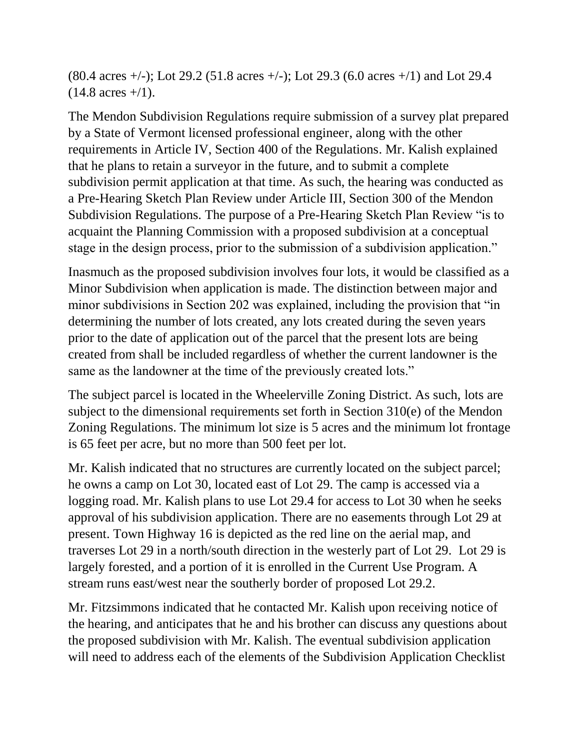(80.4 acres +/-); Lot 29.2 (51.8 acres +/-); Lot 29.3 (6.0 acres +/1) and Lot 29.4  $(14.8 \text{ acres} + /1)$ .

The Mendon Subdivision Regulations require submission of a survey plat prepared by a State of Vermont licensed professional engineer, along with the other requirements in Article IV, Section 400 of the Regulations. Mr. Kalish explained that he plans to retain a surveyor in the future, and to submit a complete subdivision permit application at that time. As such, the hearing was conducted as a Pre-Hearing Sketch Plan Review under Article III, Section 300 of the Mendon Subdivision Regulations. The purpose of a Pre-Hearing Sketch Plan Review "is to acquaint the Planning Commission with a proposed subdivision at a conceptual stage in the design process, prior to the submission of a subdivision application."

Inasmuch as the proposed subdivision involves four lots, it would be classified as a Minor Subdivision when application is made. The distinction between major and minor subdivisions in Section 202 was explained, including the provision that "in determining the number of lots created, any lots created during the seven years prior to the date of application out of the parcel that the present lots are being created from shall be included regardless of whether the current landowner is the same as the landowner at the time of the previously created lots."

The subject parcel is located in the Wheelerville Zoning District. As such, lots are subject to the dimensional requirements set forth in Section 310(e) of the Mendon Zoning Regulations. The minimum lot size is 5 acres and the minimum lot frontage is 65 feet per acre, but no more than 500 feet per lot.

Mr. Kalish indicated that no structures are currently located on the subject parcel; he owns a camp on Lot 30, located east of Lot 29. The camp is accessed via a logging road. Mr. Kalish plans to use Lot 29.4 for access to Lot 30 when he seeks approval of his subdivision application. There are no easements through Lot 29 at present. Town Highway 16 is depicted as the red line on the aerial map, and traverses Lot 29 in a north/south direction in the westerly part of Lot 29. Lot 29 is largely forested, and a portion of it is enrolled in the Current Use Program. A stream runs east/west near the southerly border of proposed Lot 29.2.

Mr. Fitzsimmons indicated that he contacted Mr. Kalish upon receiving notice of the hearing, and anticipates that he and his brother can discuss any questions about the proposed subdivision with Mr. Kalish. The eventual subdivision application will need to address each of the elements of the Subdivision Application Checklist